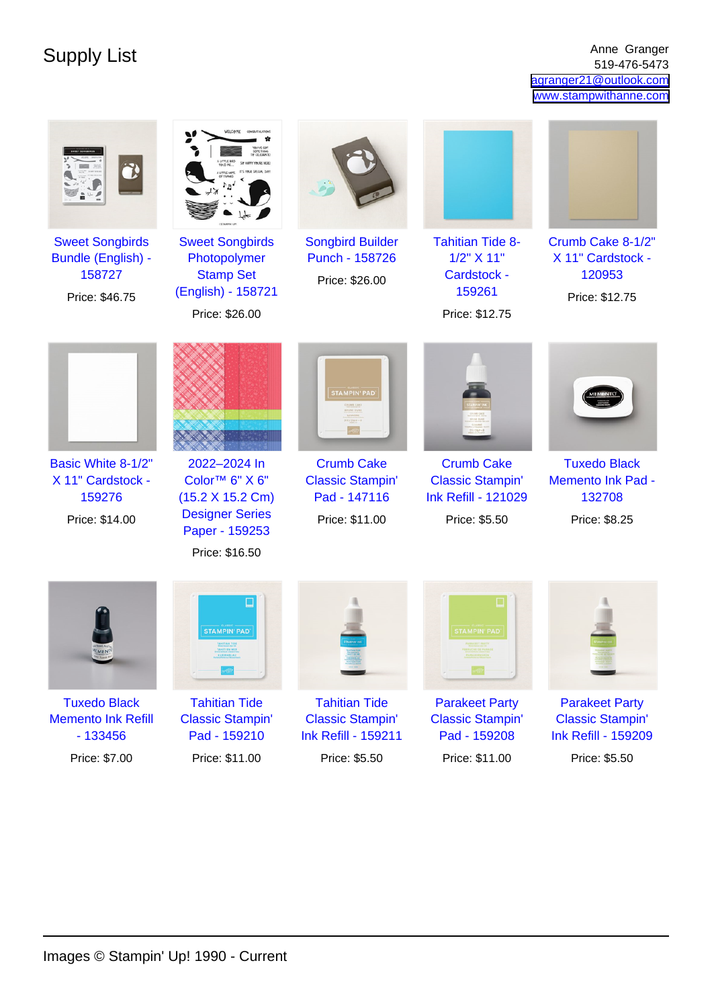Supply List Anne Granger Anne Granger (1995) and the Supply List Anne Granger (1996) and  $\frac{1}{519.476-5473}$ 519-476-5473 [agranger21@outlook.com](mailto:agranger21@outlook.com) [www.stampwithanne.com](http://www.stampwithanne.com)

| <b>Sweet Songbirds</b><br><b>Bundle (English) -</b><br>158727<br>Price: \$46.75 | <b>Sweet Songbirds</b><br>Photopolymer<br><b>Stamp Set</b><br>(English) - 158721<br>Price: \$26.00                           | <b>Songbird Builder</b><br>Punch - 158726<br>Price: \$26.00                    | <b>Tahitian Tide 8-</b><br>1/2" X 11"<br>Cardstock -<br>159261<br>Price: \$12.75            | Crumb Cake 8-1/2"<br>X 11" Cardstock -<br>120953<br>Price: \$12.75             |
|---------------------------------------------------------------------------------|------------------------------------------------------------------------------------------------------------------------------|--------------------------------------------------------------------------------|---------------------------------------------------------------------------------------------|--------------------------------------------------------------------------------|
|                                                                                 |                                                                                                                              | <b>STAMPIN' PAD</b>                                                            |                                                                                             |                                                                                |
| Basic White 8-1/2"<br>X 11" Cardstock -<br>159276<br>Price: \$14.00             | 2022-2024 In<br>Color <sup>™</sup> 6" X 6"<br>(15.2 X 15.2 Cm)<br><b>Designer Series</b><br>Paper - 159253<br>Price: \$16.50 | <b>Crumb Cake</b><br><b>Classic Stampin'</b><br>Pad - 147116<br>Price: \$11.00 | <b>Crumb Cake</b><br><b>Classic Stampin'</b><br><b>Ink Refill - 121029</b><br>Price: \$5.50 | <b>Tuxedo Black</b><br><b>Memento Ink Pad -</b><br>132708<br>Price: \$8.25     |
|                                                                                 | □<br><b>STAMPIN' PAD</b>                                                                                                     |                                                                                | STAMPIN' PAD                                                                                |                                                                                |
| <b>Tuxedo Black</b><br><b>Memento Ink Refill</b><br>$-133456$                   | <b>Tahitian Tide</b><br><b>Classic Stampin'</b><br>Pad - 159210                                                              | <b>Tahitian Tide</b><br><b>Classic Stampin'</b><br><b>Ink Refill - 159211</b>  | <b>Parakeet Party</b><br><b>Classic Stampin'</b><br>Pad - 159208                            | <b>Parakeet Party</b><br><b>Classic Stampin'</b><br><b>Ink Refill - 159209</b> |
| Price: \$7.00                                                                   | Price: \$11.00                                                                                                               | Price: \$5.50                                                                  | Price: \$11.00                                                                              | Price: \$5.50                                                                  |